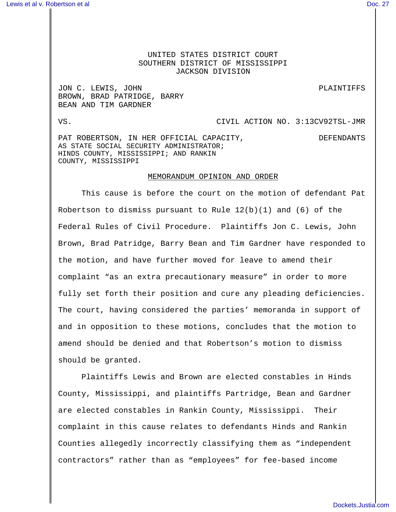## UNITED STATES DISTRICT COURT SOUTHERN DISTRICT OF MISSISSIPPI JACKSON DIVISION

JON C. LEWIS, JOHN PLAINTIFFS BROWN, BRAD PATRIDGE, BARRY BEAN AND TIM GARDNER

## VS. CIVIL ACTION NO. 3:13CV92TSL-JMR

PAT ROBERTSON, IN HER OFFICIAL CAPACITY, THE DEFENDANTS AS STATE SOCIAL SECURITY ADMINISTRATOR; HINDS COUNTY, MISSISSIPPI; AND RANKIN COUNTY, MISSISSIPPI

## MEMORANDUM OPINION AND ORDER

This cause is before the court on the motion of defendant Pat Robertson to dismiss pursuant to Rule  $12(b)(1)$  and  $(6)$  of the Federal Rules of Civil Procedure. Plaintiffs Jon C. Lewis, John Brown, Brad Patridge, Barry Bean and Tim Gardner have responded to the motion, and have further moved for leave to amend their complaint "as an extra precautionary measure" in order to more fully set forth their position and cure any pleading deficiencies. The court, having considered the parties' memoranda in support of and in opposition to these motions, concludes that the motion to amend should be denied and that Robertson's motion to dismiss should be granted.

Plaintiffs Lewis and Brown are elected constables in Hinds County, Mississippi, and plaintiffs Partridge, Bean and Gardner are elected constables in Rankin County, Mississippi. Their complaint in this cause relates to defendants Hinds and Rankin Counties allegedly incorrectly classifying them as "independent contractors" rather than as "employees" for fee-based income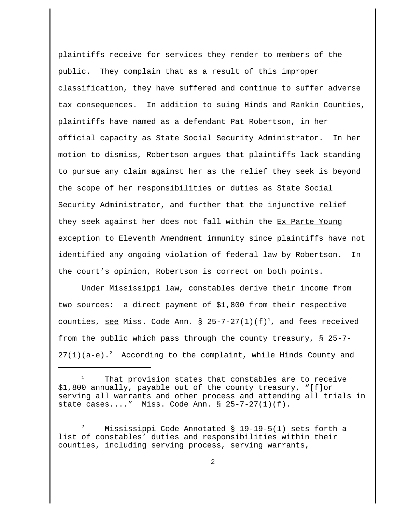plaintiffs receive for services they render to members of the public. They complain that as a result of this improper classification, they have suffered and continue to suffer adverse tax consequences. In addition to suing Hinds and Rankin Counties, plaintiffs have named as a defendant Pat Robertson, in her official capacity as State Social Security Administrator. In her motion to dismiss, Robertson argues that plaintiffs lack standing to pursue any claim against her as the relief they seek is beyond the scope of her responsibilities or duties as State Social Security Administrator, and further that the injunctive relief they seek against her does not fall within the Ex Parte Young exception to Eleventh Amendment immunity since plaintiffs have not identified any ongoing violation of federal law by Robertson. In the court's opinion, Robertson is correct on both points.

Under Mississippi law, constables derive their income from two sources: a direct payment of \$1,800 from their respective counties, see Miss. Code Ann. §  $25-7-27(1)(f)^1$ , and fees received from the public which pass through the county treasury, § 25-7-  $27(1)(a-e).<sup>2</sup>$  According to the complaint, while Hinds County and

That provision states that constables are to receive \$1,800 annually, payable out of the county treasury, "[f]or serving all warrants and other process and attending all trials in state cases...." Miss. Code Ann. § 25-7-27(1)(f).

<sup>2</sup> Mississippi Code Annotated § 19-19-5(1) sets forth a list of constables' duties and responsibilities within their counties, including serving process, serving warrants,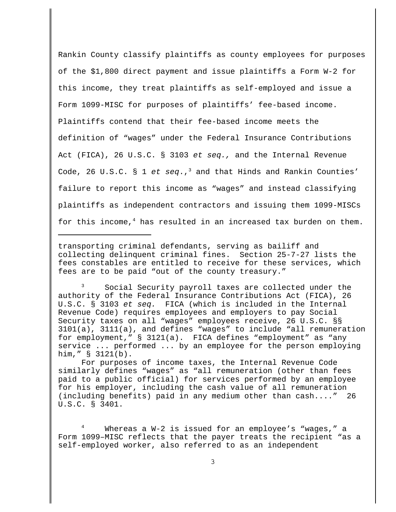Rankin County classify plaintiffs as county employees for purposes of the \$1,800 direct payment and issue plaintiffs a Form W-2 for this income, they treat plaintiffs as self-employed and issue a Form 1099-MISC for purposes of plaintiffs' fee-based income. Plaintiffs contend that their fee-based income meets the definition of "wages" under the Federal Insurance Contributions Act (FICA), 26 U.S.C. § 3103 et seq., and the Internal Revenue Code, 26 U.S.C.  $\S$  1 et seq.,<sup>3</sup> and that Hinds and Rankin Counties' failure to report this income as "wages" and instead classifying plaintiffs as independent contractors and issuing them 1099-MISCs for this income, $4$  has resulted in an increased tax burden on them.

transporting criminal defendants, serving as bailiff and collecting delinquent criminal fines. Section 25-7-27 lists the fees constables are entitled to receive for these services, which fees are to be paid "out of the county treasury."

<sup>3</sup> Social Security payroll taxes are collected under the authority of the Federal Insurance Contributions Act (FICA), 26 U.S.C. § 3103 et seq. FICA (which is included in the Internal Revenue Code) requires employees and employers to pay Social Security taxes on all "wages" employees receive, 26 U.S.C. §§ 3101(a), 3111(a), and defines "wages" to include "all remuneration for employment," § 3121(a). FICA defines "employment" as "any service ... performed ... by an employee for the person employing him," § 3121(b).

For purposes of income taxes, the Internal Revenue Code similarly defines "wages" as "all remuneration (other than fees paid to a public official) for services performed by an employee for his employer, including the cash value of all remuneration (including benefits) paid in any medium other than cash...." 26 U.S.C. § 3401.

Whereas a  $W-2$  is issued for an employee's "wages," a Form 1099–MISC reflects that the payer treats the recipient "as a self-employed worker, also referred to as an independent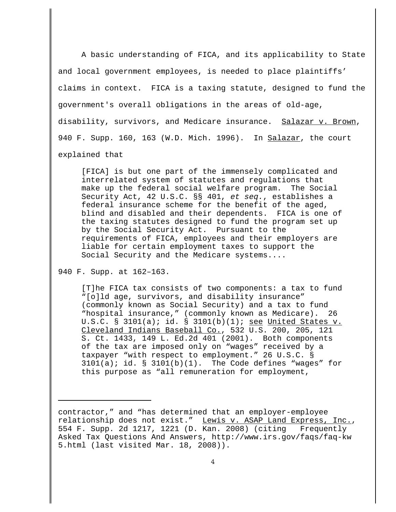A basic understanding of FICA, and its applicability to State and local government employees, is needed to place plaintiffs' claims in context. FICA is a taxing statute, designed to fund the government's overall obligations in the areas of old-age, disability, survivors, and Medicare insurance. Salazar v. Brown, 940 F. Supp. 160, 163 (W.D. Mich. 1996). In Salazar, the court explained that

[FICA] is but one part of the immensely complicated and interrelated system of statutes and regulations that make up the federal social welfare program. The Social Security Act, 42 U.S.C. §§ 401, et seq., establishes a federal insurance scheme for the benefit of the aged, blind and disabled and their dependents. FICA is one of the taxing statutes designed to fund the program set up by the Social Security Act. Pursuant to the requirements of FICA, employees and their employers are liable for certain employment taxes to support the Social Security and the Medicare systems....

940 F. Supp. at 162–163.

[T]he FICA tax consists of two components: a tax to fund "[o]ld age, survivors, and disability insurance" (commonly known as Social Security) and a tax to fund "hospital insurance," (commonly known as Medicare). 26 U.S.C. § 3101(a); id. § 3101(b)(1); see United States v. Cleveland Indians Baseball Co., 532 U.S. 200, 205, 121 S. Ct. 1433, 149 L. Ed.2d 401 (2001). Both components of the tax are imposed only on "wages" received by a taxpayer "with respect to employment." 26 U.S.C. §  $3101(a)$ ; id. §  $3101(b)(1)$ . The Code defines "wages" for this purpose as "all remuneration for employment,

contractor," and "has determined that an employer-employee relationship does not exist." Lewis v. ASAP Land Express, Inc., 554 F. Supp. 2d 1217, 1221 (D. Kan. 2008) (citing Frequently Asked Tax Questions And Answers, http://www.irs.gov/faqs/faq-kw 5.html (last visited Mar. 18, 2008)).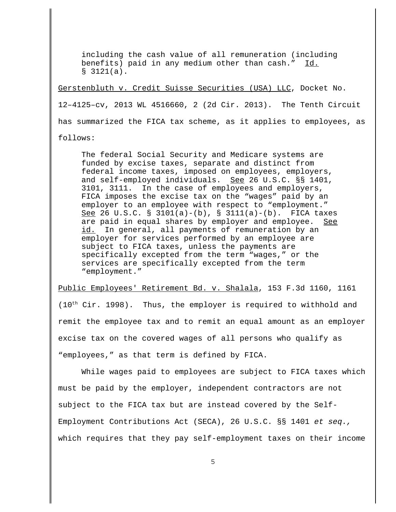including the cash value of all remuneration (including benefits) paid in any medium other than cash." Id.  $$3121(a).$ 

Gerstenbluth v. Credit Suisse Securities (USA) LLC, Docket No. 12–4125–cv, 2013 WL 4516660, 2 (2d Cir. 2013). The Tenth Circuit has summarized the FICA tax scheme, as it applies to employees, as

follows:

The federal Social Security and Medicare systems are funded by excise taxes, separate and distinct from federal income taxes, imposed on employees, employers, and self-employed individuals. See 26 U.S.C. §§ 1401, 3101, 3111. In the case of employees and employers, FICA imposes the excise tax on the "wages" paid by an employer to an employee with respect to "employment." See 26 U.S.C. § 3101(a)-(b), § 3111(a)-(b). FICA taxes are paid in equal shares by employer and employee. See id. In general, all payments of remuneration by an employer for services performed by an employee are subject to FICA taxes, unless the payments are specifically excepted from the term "wages," or the services are specifically excepted from the term "employment."

Public Employees' Retirement Bd. v. Shalala, 153 F.3d 1160, 1161

 $(10<sup>th</sup> Cir. 1998)$ . Thus, the employer is required to withhold and remit the employee tax and to remit an equal amount as an employer excise tax on the covered wages of all persons who qualify as "employees," as that term is defined by FICA.

While wages paid to employees are subject to FICA taxes which must be paid by the employer, independent contractors are not subject to the FICA tax but are instead covered by the Self-Employment Contributions Act (SECA), 26 U.S.C. §§ 1401 et seq., which requires that they pay self-employment taxes on their income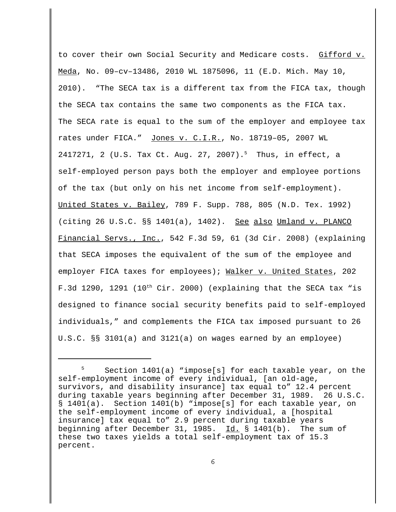to cover their own Social Security and Medicare costs. Gifford v. Meda, No. 09–cv–13486, 2010 WL 1875096, 11 (E.D. Mich. May 10, 2010). "The SECA tax is a different tax from the FICA tax, though the SECA tax contains the same two components as the FICA tax. The SECA rate is equal to the sum of the employer and employee tax rates under FICA." Jones v. C.I.R., No. 18719–05, 2007 WL 2417271, 2 (U.S. Tax Ct. Aug. 27, 2007).<sup>5</sup> Thus, in effect, a self-employed person pays both the employer and employee portions of the tax (but only on his net income from self-employment). United States v. Bailey, 789 F. Supp. 788, 805 (N.D. Tex. 1992) (citing 26 U.S.C. §§ 1401(a), 1402). See also Umland v. PLANCO Financial Servs., Inc., 542 F.3d 59, 61 (3d Cir. 2008) (explaining that SECA imposes the equivalent of the sum of the employee and employer FICA taxes for employees); Walker v. United States, 202 F.3d 1290, 1291 (10<sup>th</sup> Cir. 2000) (explaining that the SECA tax "is designed to finance social security benefits paid to self-employed individuals," and complements the FICA tax imposed pursuant to 26 U.S.C. §§ 3101(a) and 3121(a) on wages earned by an employee)

<sup>5</sup> Section 1401(a) "impose[s] for each taxable year, on the self-employment income of every individual, [an old-age, survivors, and disability insurance] tax equal to" 12.4 percent during taxable years beginning after December 31, 1989. 26 U.S.C. § 1401(a). Section 1401(b) "impose[s] for each taxable year, on the self-employment income of every individual, a [hospital insurance] tax equal to" 2.9 percent during taxable years beginning after December 31, 1985. Id.  $\S$  1401(b). The sum of these two taxes yields a total self-employment tax of 15.3 percent.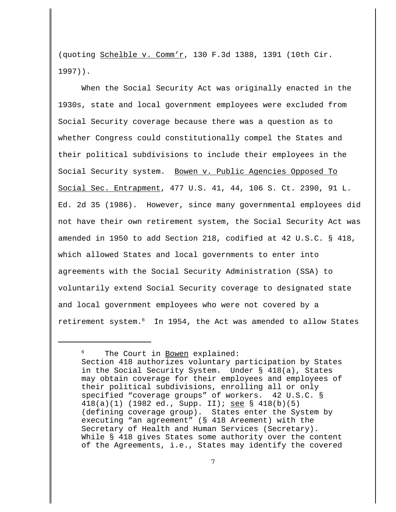(quoting Schelble v. Comm'r, 130 F.3d 1388, 1391 (10th Cir. 1997)).

When the Social Security Act was originally enacted in the 1930s, state and local government employees were excluded from Social Security coverage because there was a question as to whether Congress could constitutionally compel the States and their political subdivisions to include their employees in the Social Security system. Bowen v. Public Agencies Opposed To Social Sec. Entrapment, 477 U.S. 41, 44, 106 S. Ct. 2390, 91 L. Ed. 2d 35 (1986). However, since many governmental employees did not have their own retirement system, the Social Security Act was amended in 1950 to add Section 218, codified at 42 U.S.C. § 418, which allowed States and local governments to enter into agreements with the Social Security Administration (SSA) to voluntarily extend Social Security coverage to designated state and local government employees who were not covered by a retirement system.<sup>6</sup> In 1954, the Act was amended to allow States

<sup>&</sup>lt;sup>6</sup> The Court in Bowen explained: Section 418 authorizes voluntary participation by States in the Social Security System. Under § 418(a), States may obtain coverage for their employees and employees of their political subdivisions, enrolling all or only specified "coverage groups" of workers. 42 U.S.C. § 418(a)(1) (1982 ed., Supp. II); see § 418(b)(5) (defining coverage group). States enter the System by executing "an agreement" (§ 418 Areement) with the Secretary of Health and Human Services (Secretary). While § 418 gives States some authority over the content of the Agreements, i.e., States may identify the covered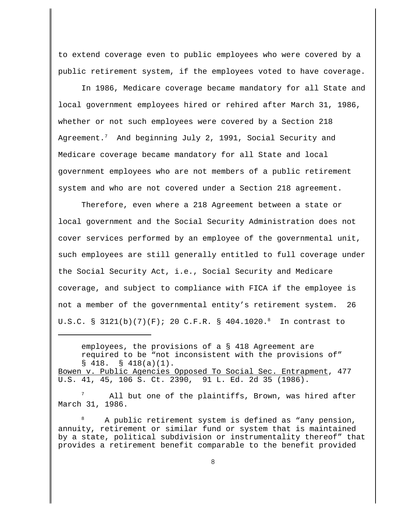to extend coverage even to public employees who were covered by a public retirement system, if the employees voted to have coverage.

In 1986, Medicare coverage became mandatory for all State and local government employees hired or rehired after March 31, 1986, whether or not such employees were covered by a Section 218 Agreement.<sup>7</sup> And beginning July 2, 1991, Social Security and Medicare coverage became mandatory for all State and local government employees who are not members of a public retirement system and who are not covered under a Section 218 agreement.

Therefore, even where a 218 Agreement between a state or local government and the Social Security Administration does not cover services performed by an employee of the governmental unit, such employees are still generally entitled to full coverage under the Social Security Act, i.e., Social Security and Medicare coverage, and subject to compliance with FICA if the employee is not a member of the governmental entity's retirement system. 26 U.S.C. § 3121(b)(7)(F); 20 C.F.R. § 404.1020.<sup>8</sup> In contrast to

employees, the provisions of a § 418 Agreement are required to be "not inconsistent with the provisions of"  $\S$  418.  $\S$  418(a)(1). Bowen v. Public Agencies Opposed To Social Sec. Entrapment, 477 U.S. 41, 45, 106 S. Ct. 2390, 91 L. Ed. 2d 35 (1986).

All but one of the plaintiffs, Brown, was hired after March 31, 1986.

<sup>8</sup> A public retirement system is defined as "any pension, annuity, retirement or similar fund or system that is maintained by a state, political subdivision or instrumentality thereof" that provides a retirement benefit comparable to the benefit provided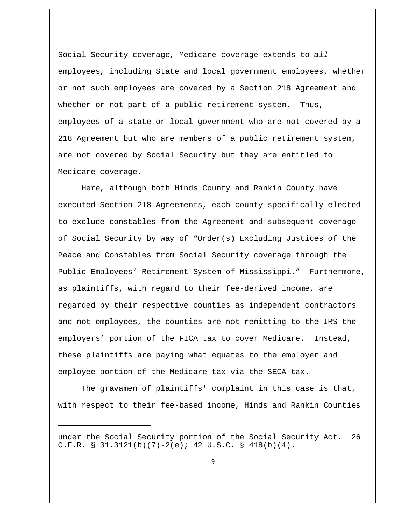Social Security coverage, Medicare coverage extends to all employees, including State and local government employees, whether or not such employees are covered by a Section 218 Agreement and whether or not part of a public retirement system. Thus, employees of a state or local government who are not covered by a 218 Agreement but who are members of a public retirement system, are not covered by Social Security but they are entitled to Medicare coverage.

Here, although both Hinds County and Rankin County have executed Section 218 Agreements, each county specifically elected to exclude constables from the Agreement and subsequent coverage of Social Security by way of "Order(s) Excluding Justices of the Peace and Constables from Social Security coverage through the Public Employees' Retirement System of Mississippi." Furthermore, as plaintiffs, with regard to their fee-derived income, are regarded by their respective counties as independent contractors and not employees, the counties are not remitting to the IRS the employers' portion of the FICA tax to cover Medicare. Instead, these plaintiffs are paying what equates to the employer and employee portion of the Medicare tax via the SECA tax.

The gravamen of plaintiffs' complaint in this case is that, with respect to their fee-based income, Hinds and Rankin Counties

under the Social Security portion of the Social Security Act. 26 C.F.R. § 31.3121(b)(7)-2(e); 42 U.S.C. § 418(b)(4).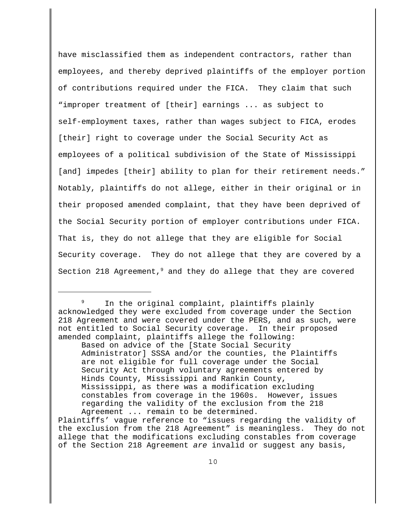have misclassified them as independent contractors, rather than employees, and thereby deprived plaintiffs of the employer portion of contributions required under the FICA. They claim that such "improper treatment of [their] earnings ... as subject to self-employment taxes, rather than wages subject to FICA, erodes [their] right to coverage under the Social Security Act as employees of a political subdivision of the State of Mississippi [and] impedes [their] ability to plan for their retirement needs." Notably, plaintiffs do not allege, either in their original or in their proposed amended complaint, that they have been deprived of the Social Security portion of employer contributions under FICA. That is, they do not allege that they are eligible for Social Security coverage. They do not allege that they are covered by a Section 218 Agreement, $9$  and they do allege that they are covered

In the original complaint, plaintiffs plainly acknowledged they were excluded from coverage under the Section 218 Agreement and were covered under the PERS, and as such, were not entitled to Social Security coverage. In their proposed amended complaint, plaintiffs allege the following:

Based on advice of the [State Social Security Administrator] SSSA and/or the counties, the Plaintiffs are not eligible for full coverage under the Social Security Act through voluntary agreements entered by Hinds County, Mississippi and Rankin County, Mississippi, as there was a modification excluding constables from coverage in the 1960s. However, issues regarding the validity of the exclusion from the 218 Agreement ... remain to be determined.

Plaintiffs' vague reference to "issues regarding the validity of the exclusion from the 218 Agreement" is meaningless. They do not allege that the modifications excluding constables from coverage of the Section 218 Agreement are invalid or suggest any basis,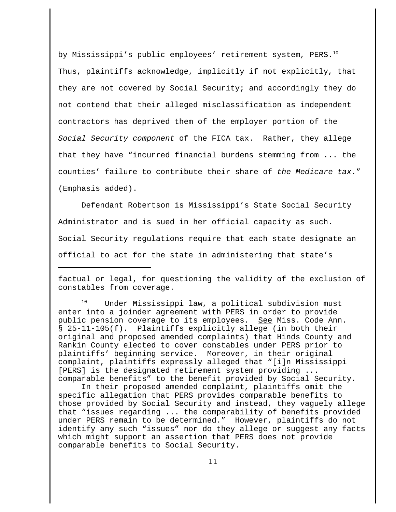by Mississippi's public employees' retirement system, PERS.<sup>10</sup> Thus, plaintiffs acknowledge, implicitly if not explicitly, that they are not covered by Social Security; and accordingly they do not contend that their alleged misclassification as independent contractors has deprived them of the employer portion of the Social Security component of the FICA tax. Rather, they allege that they have "incurred financial burdens stemming from ... the counties' failure to contribute their share of the Medicare tax." (Emphasis added).

Defendant Robertson is Mississippi's State Social Security Administrator and is sued in her official capacity as such. Social Security regulations require that each state designate an official to act for the state in administering that state's

factual or legal, for questioning the validity of the exclusion of constables from coverage.

<sup>10</sup> Under Mississippi law, a political subdivision must enter into a joinder agreement with PERS in order to provide public pension coverage to its employees. See Miss. Code Ann. § 25-11-105(f). Plaintiffs explicitly allege (in both their original and proposed amended complaints) that Hinds County and Rankin County elected to cover constables under PERS prior to plaintiffs' beginning service. Moreover, in their original complaint, plaintiffs expressly alleged that "[i]n Mississippi [PERS] is the designated retirement system providing ... comparable benefits" to the benefit provided by Social Security.

In their proposed amended complaint, plaintiffs omit the specific allegation that PERS provides comparable benefits to those provided by Social Security and instead, they vaguely allege that "issues regarding ... the comparability of benefits provided under PERS remain to be determined." However, plaintiffs do not identify any such "issues" nor do they allege or suggest any facts which might support an assertion that PERS does not provide comparable benefits to Social Security.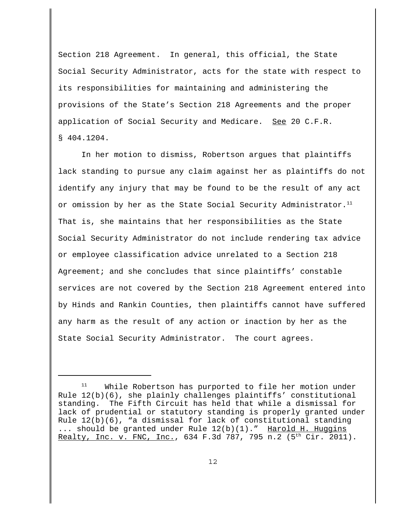Section 218 Agreement. In general, this official, the State Social Security Administrator, acts for the state with respect to its responsibilities for maintaining and administering the provisions of the State's Section 218 Agreements and the proper application of Social Security and Medicare. See 20 C.F.R. § 404.1204.

In her motion to dismiss, Robertson argues that plaintiffs lack standing to pursue any claim against her as plaintiffs do not identify any injury that may be found to be the result of any act or omission by her as the State Social Security Administrator. $11$ That is, she maintains that her responsibilities as the State Social Security Administrator do not include rendering tax advice or employee classification advice unrelated to a Section 218 Agreement; and she concludes that since plaintiffs' constable services are not covered by the Section 218 Agreement entered into by Hinds and Rankin Counties, then plaintiffs cannot have suffered any harm as the result of any action or inaction by her as the State Social Security Administrator. The court agrees.

While Robertson has purported to file her motion under Rule 12(b)(6), she plainly challenges plaintiffs' constitutional standing. The Fifth Circuit has held that while a dismissal for lack of prudential or statutory standing is properly granted under Rule 12(b)(6), "a dismissal for lack of constitutional standing ... should be granted under Rule 12(b)(1)." Harold H. Huggins Realty, Inc. v. FNC, Inc., 634 F.3d 787, 795 n.2 (5<sup>th</sup> Cir. 2011).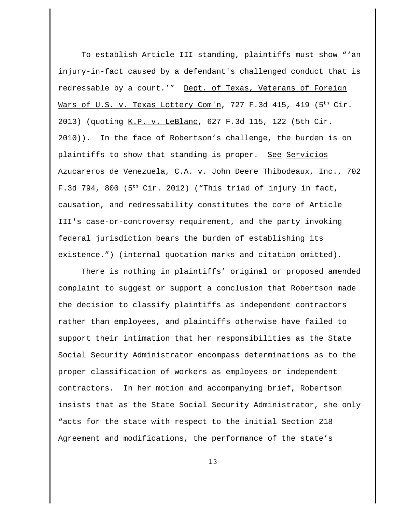To establish Article III standing, plaintiffs must show "'an injury-in-fact caused by a defendant's challenged conduct that is redressable by a court.'" Dept. of Texas, Veterans of Foreign Wars of U.S. v. Texas Lottery Com'n, 727 F.3d 415, 419 (5<sup>th</sup> Cir. 2013) (quoting K.P. v. LeBlanc, 627 F.3d 115, 122 (5th Cir. 2010)). In the face of Robertson's challenge, the burden is on plaintiffs to show that standing is proper. See Servicios Azucareros de Venezuela, C.A. v. John Deere Thibodeaux, Inc., 702 F.3d 794, 800 ( $5<sup>th</sup>$  Cir. 2012) ("This triad of injury in fact, causation, and redressability constitutes the core of Article III's case-or-controversy requirement, and the party invoking federal jurisdiction bears the burden of establishing its existence.") (internal quotation marks and citation omitted).

There is nothing in plaintiffs' original or proposed amended complaint to suggest or support a conclusion that Robertson made the decision to classify plaintiffs as independent contractors rather than employees, and plaintiffs otherwise have failed to support their intimation that her responsibilities as the State Social Security Administrator encompass determinations as to the proper classification of workers as employees or independent contractors. In her motion and accompanying brief, Robertson insists that as the State Social Security Administrator, she only "acts for the state with respect to the initial Section 218 Agreement and modifications, the performance of the state's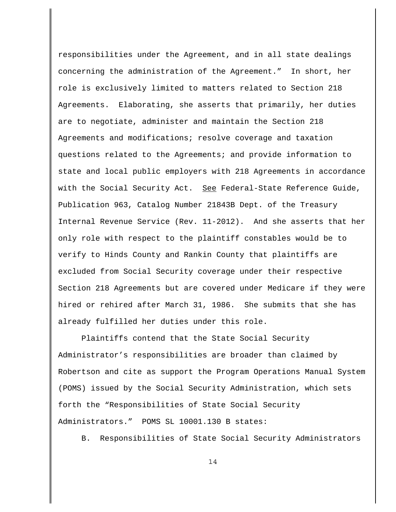responsibilities under the Agreement, and in all state dealings concerning the administration of the Agreement." In short, her role is exclusively limited to matters related to Section 218 Agreements. Elaborating, she asserts that primarily, her duties are to negotiate, administer and maintain the Section 218 Agreements and modifications; resolve coverage and taxation questions related to the Agreements; and provide information to state and local public employers with 218 Agreements in accordance with the Social Security Act. See Federal-State Reference Guide, Publication 963, Catalog Number 21843B Dept. of the Treasury Internal Revenue Service (Rev. 11-2012). And she asserts that her only role with respect to the plaintiff constables would be to verify to Hinds County and Rankin County that plaintiffs are excluded from Social Security coverage under their respective Section 218 Agreements but are covered under Medicare if they were hired or rehired after March 31, 1986. She submits that she has already fulfilled her duties under this role.

Plaintiffs contend that the State Social Security Administrator's responsibilities are broader than claimed by Robertson and cite as support the Program Operations Manual System (POMS) issued by the Social Security Administration, which sets forth the "Responsibilities of State Social Security Administrators." POMS SL 10001.130 B states:

B. Responsibilities of State Social Security Administrators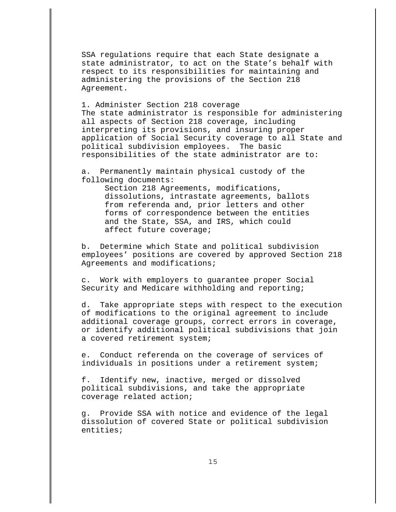SSA regulations require that each State designate a state administrator, to act on the State's behalf with respect to its responsibilities for maintaining and administering the provisions of the Section 218 Agreement.

1. Administer Section 218 coverage The state administrator is responsible for administering all aspects of Section 218 coverage, including interpreting its provisions, and insuring proper application of Social Security coverage to all State and political subdivision employees. The basic responsibilities of the state administrator are to:

a. Permanently maintain physical custody of the following documents:

> Section 218 Agreements, modifications, dissolutions, intrastate agreements, ballots from referenda and, prior letters and other forms of correspondence between the entities and the State, SSA, and IRS, which could affect future coverage;

b. Determine which State and political subdivision employees' positions are covered by approved Section 218 Agreements and modifications;

c. Work with employers to guarantee proper Social Security and Medicare withholding and reporting;

d. Take appropriate steps with respect to the execution of modifications to the original agreement to include additional coverage groups, correct errors in coverage, or identify additional political subdivisions that join a covered retirement system;

e. Conduct referenda on the coverage of services of individuals in positions under a retirement system;

f. Identify new, inactive, merged or dissolved political subdivisions, and take the appropriate coverage related action;

g. Provide SSA with notice and evidence of the legal dissolution of covered State or political subdivision entities;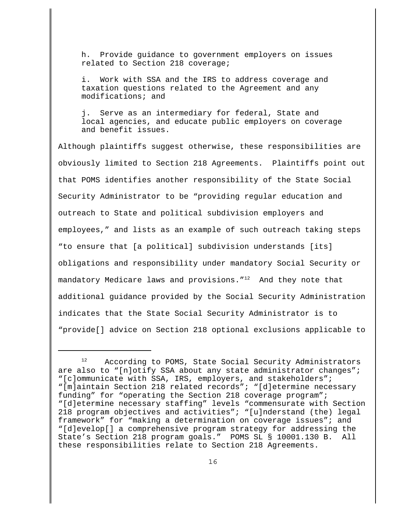h. Provide guidance to government employers on issues related to Section 218 coverage;

Work with SSA and the IRS to address coverage and taxation questions related to the Agreement and any modifications; and

j. Serve as an intermediary for federal, State and local agencies, and educate public employers on coverage and benefit issues.

Although plaintiffs suggest otherwise, these responsibilities are obviously limited to Section 218 Agreements. Plaintiffs point out that POMS identifies another responsibility of the State Social Security Administrator to be "providing regular education and outreach to State and political subdivision employers and employees," and lists as an example of such outreach taking steps "to ensure that [a political] subdivision understands [its] obligations and responsibility under mandatory Social Security or mandatory Medicare laws and provisions."<sup>12</sup> And they note that additional guidance provided by the Social Security Administration indicates that the State Social Security Administrator is to "provide[] advice on Section 218 optional exclusions applicable to

<sup>12</sup> According to POMS, State Social Security Administrators are also to "[n]otify SSA about any state administrator changes"; "[c]ommunicate with SSA, IRS, employers, and stakeholders"; "[m]aintain Section 218 related records"; "[d]etermine necessary funding" for "operating the Section 218 coverage program"; "[d]etermine necessary staffing" levels "commensurate with Section 218 program objectives and activities"; "[u]nderstand (the) legal framework" for "making a determination on coverage issues"; and "[d]evelop[] a comprehensive program strategy for addressing the State's Section 218 program goals." POMS SL § 10001.130 B. All these responsibilities relate to Section 218 Agreements.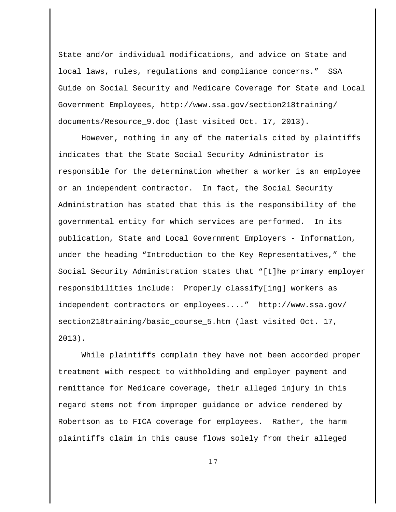State and/or individual modifications, and advice on State and local laws, rules, regulations and compliance concerns." SSA Guide on Social Security and Medicare Coverage for State and Local Government Employees, http://www.ssa.gov/section218training/ documents/Resource\_9.doc (last visited Oct. 17, 2013).

However, nothing in any of the materials cited by plaintiffs indicates that the State Social Security Administrator is responsible for the determination whether a worker is an employee or an independent contractor. In fact, the Social Security Administration has stated that this is the responsibility of the governmental entity for which services are performed. In its publication, State and Local Government Employers - Information, under the heading "Introduction to the Key Representatives," the Social Security Administration states that "[t]he primary employer responsibilities include: Properly classify[ing] workers as independent contractors or employees...." http://www.ssa.gov/ section218training/basic\_course\_5.htm (last visited Oct. 17, 2013).

While plaintiffs complain they have not been accorded proper treatment with respect to withholding and employer payment and remittance for Medicare coverage, their alleged injury in this regard stems not from improper guidance or advice rendered by Robertson as to FICA coverage for employees. Rather, the harm plaintiffs claim in this cause flows solely from their alleged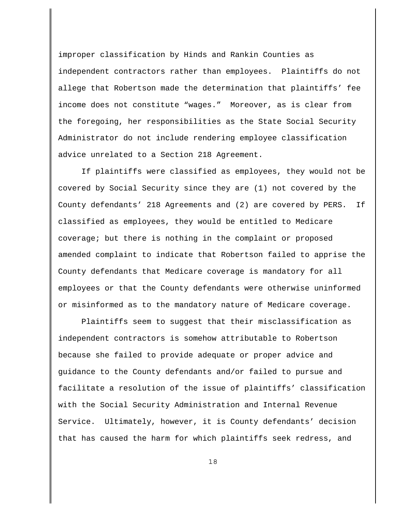improper classification by Hinds and Rankin Counties as independent contractors rather than employees. Plaintiffs do not allege that Robertson made the determination that plaintiffs' fee income does not constitute "wages." Moreover, as is clear from the foregoing, her responsibilities as the State Social Security Administrator do not include rendering employee classification advice unrelated to a Section 218 Agreement.

If plaintiffs were classified as employees, they would not be covered by Social Security since they are (1) not covered by the County defendants' 218 Agreements and (2) are covered by PERS. If classified as employees, they would be entitled to Medicare coverage; but there is nothing in the complaint or proposed amended complaint to indicate that Robertson failed to apprise the County defendants that Medicare coverage is mandatory for all employees or that the County defendants were otherwise uninformed or misinformed as to the mandatory nature of Medicare coverage.

Plaintiffs seem to suggest that their misclassification as independent contractors is somehow attributable to Robertson because she failed to provide adequate or proper advice and guidance to the County defendants and/or failed to pursue and facilitate a resolution of the issue of plaintiffs' classification with the Social Security Administration and Internal Revenue Service. Ultimately, however, it is County defendants' decision that has caused the harm for which plaintiffs seek redress, and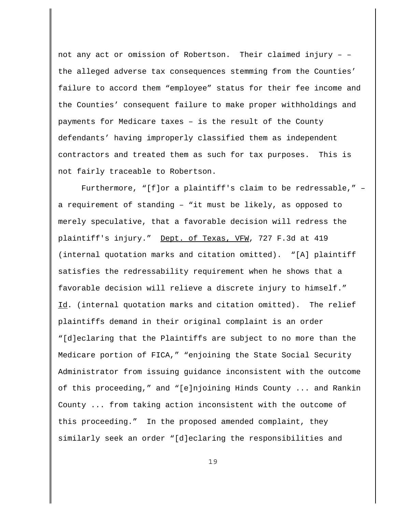not any act or omission of Robertson. Their claimed injury – – the alleged adverse tax consequences stemming from the Counties' failure to accord them "employee" status for their fee income and the Counties' consequent failure to make proper withholdings and payments for Medicare taxes – is the result of the County defendants' having improperly classified them as independent contractors and treated them as such for tax purposes. This is not fairly traceable to Robertson.

Furthermore, "[f]or a plaintiff's claim to be redressable," – a requirement of standing – "it must be likely, as opposed to merely speculative, that a favorable decision will redress the plaintiff's injury." Dept. of Texas, VFW, 727 F.3d at 419 (internal quotation marks and citation omitted). "[A] plaintiff satisfies the redressability requirement when he shows that a favorable decision will relieve a discrete injury to himself." Id. (internal quotation marks and citation omitted). The relief plaintiffs demand in their original complaint is an order "[d]eclaring that the Plaintiffs are subject to no more than the Medicare portion of FICA," "enjoining the State Social Security Administrator from issuing guidance inconsistent with the outcome of this proceeding," and "[e]njoining Hinds County ... and Rankin County ... from taking action inconsistent with the outcome of this proceeding." In the proposed amended complaint, they similarly seek an order "[d]eclaring the responsibilities and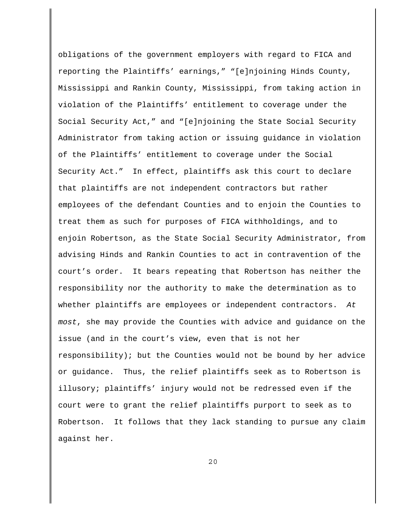obligations of the government employers with regard to FICA and reporting the Plaintiffs' earnings," "[e]njoining Hinds County, Mississippi and Rankin County, Mississippi, from taking action in violation of the Plaintiffs' entitlement to coverage under the Social Security Act," and "[e]njoining the State Social Security Administrator from taking action or issuing guidance in violation of the Plaintiffs' entitlement to coverage under the Social Security Act." In effect, plaintiffs ask this court to declare that plaintiffs are not independent contractors but rather employees of the defendant Counties and to enjoin the Counties to treat them as such for purposes of FICA withholdings, and to enjoin Robertson, as the State Social Security Administrator, from advising Hinds and Rankin Counties to act in contravention of the court's order. It bears repeating that Robertson has neither the responsibility nor the authority to make the determination as to whether plaintiffs are employees or independent contractors. At most, she may provide the Counties with advice and guidance on the issue (and in the court's view, even that is not her responsibility); but the Counties would not be bound by her advice or guidance. Thus, the relief plaintiffs seek as to Robertson is illusory; plaintiffs' injury would not be redressed even if the court were to grant the relief plaintiffs purport to seek as to Robertson. It follows that they lack standing to pursue any claim against her.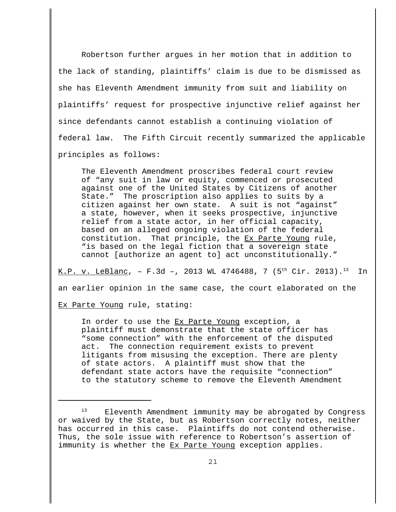Robertson further argues in her motion that in addition to the lack of standing, plaintiffs' claim is due to be dismissed as she has Eleventh Amendment immunity from suit and liability on plaintiffs' request for prospective injunctive relief against her since defendants cannot establish a continuing violation of federal law. The Fifth Circuit recently summarized the applicable principles as follows:

The Eleventh Amendment proscribes federal court review of "any suit in law or equity, commenced or prosecuted against one of the United States by Citizens of another State." The proscription also applies to suits by a citizen against her own state. A suit is not "against" a state, however, when it seeks prospective, injunctive relief from a state actor, in her official capacity, based on an alleged ongoing violation of the federal constitution. That principle, the Ex Parte Young rule, "is based on the legal fiction that a sovereign state cannot [authorize an agent to] act unconstitutionally."

K.P. v. LeBlanc, - F.3d -, 2013 WL 4746488, 7 (5<sup>th</sup> Cir. 2013).<sup>13</sup> In an earlier opinion in the same case, the court elaborated on the Ex Parte Young rule, stating:

In order to use the Ex Parte Young exception, a plaintiff must demonstrate that the state officer has "some connection" with the enforcement of the disputed act. The connection requirement exists to prevent litigants from misusing the exception. There are plenty of state actors. A plaintiff must show that the defendant state actors have the requisite "connection" to the statutory scheme to remove the Eleventh Amendment

Eleventh Amendment immunity may be abrogated by Congress or waived by the State, but as Robertson correctly notes, neither has occurred in this case. Plaintiffs do not contend otherwise. Thus, the sole issue with reference to Robertson's assertion of immunity is whether the Ex Parte Young exception applies.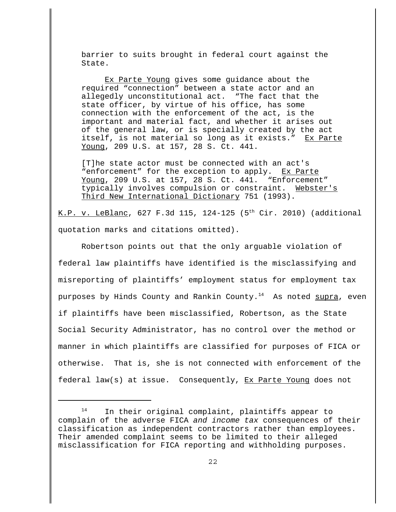barrier to suits brought in federal court against the State.

Ex Parte Young gives some guidance about the required "connection" between a state actor and an allegedly unconstitutional act. "The fact that the state officer, by virtue of his office, has some connection with the enforcement of the act, is the important and material fact, and whether it arises out of the general law, or is specially created by the act itself, is not material so long as it exists." Ex Parte Young, 209 U.S. at 157, 28 S. Ct. 441.

[T]he state actor must be connected with an act's "enforcement" for the exception to apply. Ex Parte Young, 209 U.S. at 157, 28 S. Ct. 441. "Enforcement" typically involves compulsion or constraint. Webster's Third New International Dictionary 751 (1993).

K.P. v. LeBlanc, 627 F.3d 115, 124-125 (5<sup>th</sup> Cir. 2010) (additional quotation marks and citations omitted).

Robertson points out that the only arguable violation of federal law plaintiffs have identified is the misclassifying and misreporting of plaintiffs' employment status for employment tax purposes by Hinds County and Rankin County.<sup>14</sup> As noted  $\frac{\text{supra}}{\text{supra}}$ , even if plaintiffs have been misclassified, Robertson, as the State Social Security Administrator, has no control over the method or manner in which plaintiffs are classified for purposes of FICA or otherwise. That is, she is not connected with enforcement of the federal law(s) at issue. Consequently, Ex Parte Young does not

<sup>14</sup> In their original complaint, plaintiffs appear to complain of the adverse FICA and income tax consequences of their classification as independent contractors rather than employees. Their amended complaint seems to be limited to their alleged misclassification for FICA reporting and withholding purposes.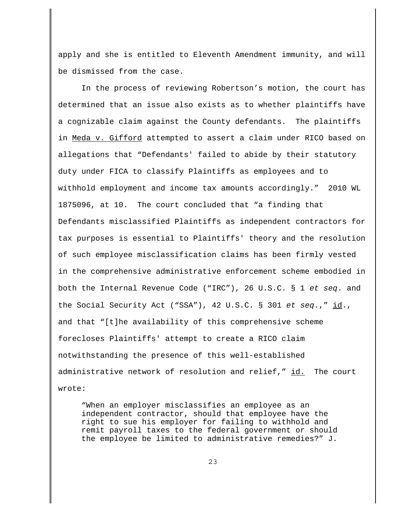apply and she is entitled to Eleventh Amendment immunity, and will be dismissed from the case.

In the process of reviewing Robertson's motion, the court has determined that an issue also exists as to whether plaintiffs have a cognizable claim against the County defendants. The plaintiffs in Meda v. Gifford attempted to assert a claim under RICO based on allegations that "Defendants' failed to abide by their statutory duty under FICA to classify Plaintiffs as employees and to withhold employment and income tax amounts accordingly." 2010 WL 1875096, at 10. The court concluded that "a finding that Defendants misclassified Plaintiffs as independent contractors for tax purposes is essential to Plaintiffs' theory and the resolution of such employee misclassification claims has been firmly vested in the comprehensive administrative enforcement scheme embodied in both the Internal Revenue Code ("IRC"), 26 U.S.C. § 1 et seq. and the Social Security Act ("SSA"), 42 U.S.C. § 301 et seq.," id., and that "[t]he availability of this comprehensive scheme forecloses Plaintiffs' attempt to create a RICO claim notwithstanding the presence of this well-established administrative network of resolution and relief," id. The court wrote:

"When an employer misclassifies an employee as an independent contractor, should that employee have the right to sue his employer for failing to withhold and remit payroll taxes to the federal government or should the employee be limited to administrative remedies?" J.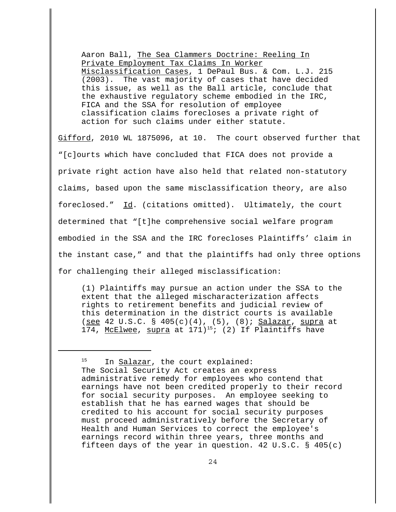Aaron Ball, The Sea Clammers Doctrine: Reeling In Private Employment Tax Claims In Worker Misclassification Cases, 1 DePaul Bus. & Com. L.J. 215 (2003). The vast majority of cases that have decided this issue, as well as the Ball article, conclude that the exhaustive regulatory scheme embodied in the IRC, FICA and the SSA for resolution of employee classification claims forecloses a private right of action for such claims under either statute.

Gifford, 2010 WL 1875096, at 10. The court observed further that "[c]ourts which have concluded that FICA does not provide a private right action have also held that related non-statutory claims, based upon the same misclassification theory, are also foreclosed." Id. (citations omitted). Ultimately, the court determined that "[t]he comprehensive social welfare program embodied in the SSA and the IRC forecloses Plaintiffs' claim in the instant case," and that the plaintiffs had only three options for challenging their alleged misclassification:

(1) Plaintiffs may pursue an action under the SSA to the extent that the alleged mischaracterization affects rights to retirement benefits and judicial review of this determination in the district courts is available (see 42 U.S.C. § 405(c)(4), (5), (8); Salazar, supra at 174, McElwee, supra at  $171)^{15}$ ; (2) If Plaintiffs have

<sup>15</sup> In <u>Salazar</u>, the court explained: The Social Security Act creates an express administrative remedy for employees who contend that earnings have not been credited properly to their record for social security purposes. An employee seeking to establish that he has earned wages that should be credited to his account for social security purposes must proceed administratively before the Secretary of Health and Human Services to correct the employee's earnings record within three years, three months and fifteen days of the year in question. 42 U.S.C. § 405(c)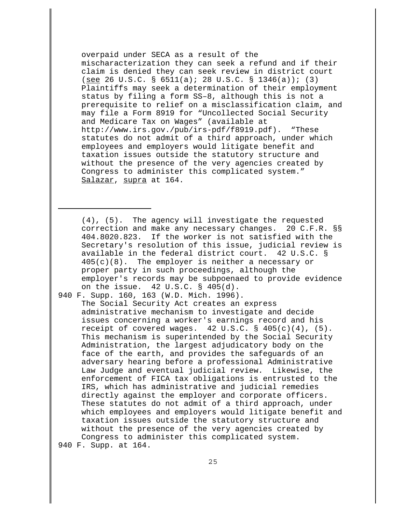overpaid under SECA as a result of the mischaracterization they can seek a refund and if their claim is denied they can seek review in district court (see 26 U.S.C. § 6511(a); 28 U.S.C. § 1346(a)); (3) Plaintiffs may seek a determination of their employment status by filing a form SS–8, although this is not a prerequisite to relief on a misclassification claim, and may file a Form 8919 for "Uncollected Social Security and Medicare Tax on Wages" (available at http://www.irs.gov./pub/irs-pdf/f8919.pdf). "These statutes do not admit of a third approach, under which employees and employers would litigate benefit and taxation issues outside the statutory structure and without the presence of the very agencies created by Congress to administer this complicated system." Salazar, supra at 164.

(4), (5). The agency will investigate the requested correction and make any necessary changes. 20 C.F.R. §§ 404.8020.823. If the worker is not satisfied with the Secretary's resolution of this issue, judicial review is available in the federal district court. 42 U.S.C. § 405(c)(8). The employer is neither a necessary or proper party in such proceedings, although the employer's records may be subpoenaed to provide evidence on the issue. 42 U.S.C. § 405(d).

940 F. Supp. 160, 163 (W.D. Mich. 1996). The Social Security Act creates an express administrative mechanism to investigate and decide issues concerning a worker's earnings record and his receipt of covered wages.  $42 \text{ U.S.C.}$  §  $405(c)(4)$ ,  $(5)$ . This mechanism is superintended by the Social Security Administration, the largest adjudicatory body on the face of the earth, and provides the safeguards of an adversary hearing before a professional Administrative Law Judge and eventual judicial review. Likewise, the enforcement of FICA tax obligations is entrusted to the IRS, which has administrative and judicial remedies directly against the employer and corporate officers. These statutes do not admit of a third approach, under which employees and employers would litigate benefit and taxation issues outside the statutory structure and without the presence of the very agencies created by Congress to administer this complicated system.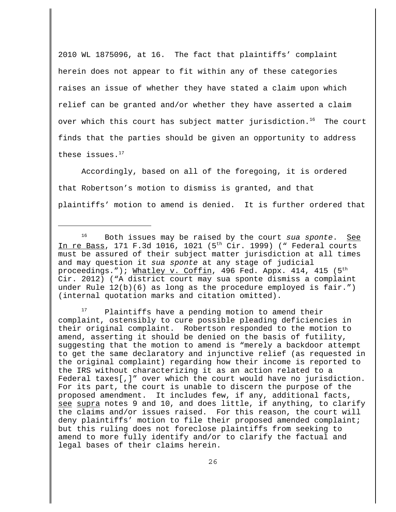2010 WL 1875096, at 16. The fact that plaintiffs' complaint herein does not appear to fit within any of these categories raises an issue of whether they have stated a claim upon which relief can be granted and/or whether they have asserted a claim over which this court has subject matter jurisdiction.<sup>16</sup> The court finds that the parties should be given an opportunity to address these issues. $17$ 

Accordingly, based on all of the foregoing, it is ordered that Robertson's motion to dismiss is granted, and that plaintiffs' motion to amend is denied. It is further ordered that

Plaintiffs have a pending motion to amend their complaint, ostensibly to cure possible pleading deficiencies in their original complaint. Robertson responded to the motion to amend, asserting it should be denied on the basis of futility, suggesting that the motion to amend is "merely a backdoor attempt to get the same declaratory and injunctive relief (as requested in the original complaint) regarding how their income is reported to the IRS without characterizing it as an action related to a Federal taxes[,]" over which the court would have no jurisdiction. For its part, the court is unable to discern the purpose of the proposed amendment. It includes few, if any, additional facts, see supra notes 9 and 10, and does little, if anything, to clarify the claims and/or issues raised. For this reason, the court will deny plaintiffs' motion to file their proposed amended complaint; but this ruling does not foreclose plaintiffs from seeking to amend to more fully identify and/or to clarify the factual and legal bases of their claims herein.

 $16$  Both issues may be raised by the court sua sponte. See In re Bass, 171 F.3d 1016, 1021  $(5<sup>th</sup> Cir. 1999)$  (" Federal courts must be assured of their subject matter jurisdiction at all times and may question it sua sponte at any stage of judicial proceedings."); Whatley v. Coffin, 496 Fed. Appx. 414, 415  $(5^{th}$ Cir. 2012) ("A district court may sua sponte dismiss a complaint under Rule 12(b)(6) as long as the procedure employed is fair.") (internal quotation marks and citation omitted).